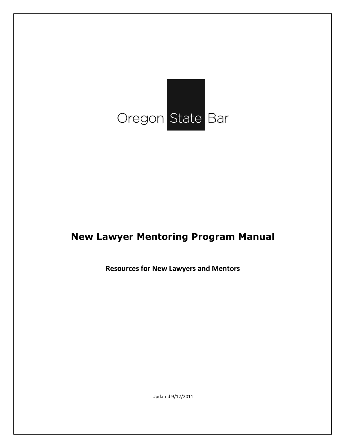

# **New Lawyer Mentoring Program Manual**

**Resources for New Lawyers and Mentors**

Updated 9/12/2011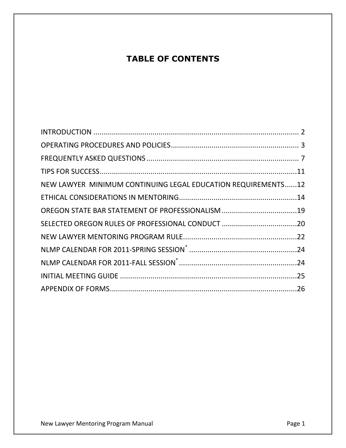# **TABLE OF CONTENTS**

| NEW LAWYER MINIMUM CONTINUING LEGAL EDUCATION REQUIREMENTS12 |  |
|--------------------------------------------------------------|--|
|                                                              |  |
| OREGON STATE BAR STATEMENT OF PROFESSIONALISM 19             |  |
|                                                              |  |
|                                                              |  |
|                                                              |  |
|                                                              |  |
|                                                              |  |
|                                                              |  |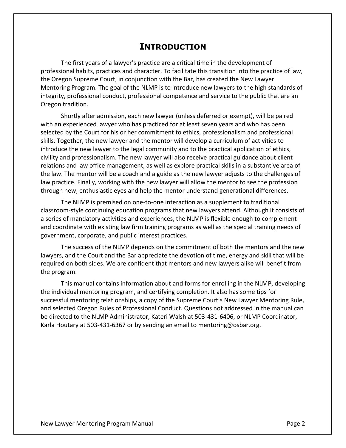# **INTRODUCTION**

<span id="page-3-0"></span>The first years of a lawyer's practice are a critical time in the development of professional habits, practices and character. To facilitate this transition into the practice of law, the Oregon Supreme Court, in conjunction with the Bar, has created the New Lawyer Mentoring Program. The goal of the NLMP is to introduce new lawyers to the high standards of integrity, professional conduct, professional competence and service to the public that are an Oregon tradition.

Shortly after admission, each new lawyer (unless deferred or exempt), will be paired with an experienced lawyer who has practiced for at least seven years and who has been selected by the Court for his or her commitment to ethics, professionalism and professional skills. Together, the new lawyer and the mentor will develop a curriculum of activities to introduce the new lawyer to the legal community and to the practical application of ethics, civility and professionalism. The new lawyer will also receive practical guidance about client relations and law office management, as well as explore practical skills in a substantive area of the law. The mentor will be a coach and a guide as the new lawyer adjusts to the challenges of law practice. Finally, working with the new lawyer will allow the mentor to see the profession through new, enthusiastic eyes and help the mentor understand generational differences.

The NLMP is premised on one-to-one interaction as a supplement to traditional classroom-style continuing education programs that new lawyers attend. Although it consists of a series of mandatory activities and experiences, the NLMP is flexible enough to complement and coordinate with existing law firm training programs as well as the special training needs of government, corporate, and public interest practices.

The success of the NLMP depends on the commitment of both the mentors and the new lawyers, and the Court and the Bar appreciate the devotion of time, energy and skill that will be required on both sides. We are confident that mentors and new lawyers alike will benefit from the program.

This manual contains information about and forms for enrolling in the NLMP, developing the individual mentoring program, and certifying completion. It also has some tips for successful mentoring relationships, a copy of the Supreme Court's New Lawyer Mentoring Rule, and selected Oregon Rules of Professional Conduct. Questions not addressed in the manual can be directed to the NLMP Administrator, Kateri Walsh at 503-431-6406, or NLMP Coordinator, Karla Houtary at 503-431-6367 or by sending an email to mentoring@osbar.org.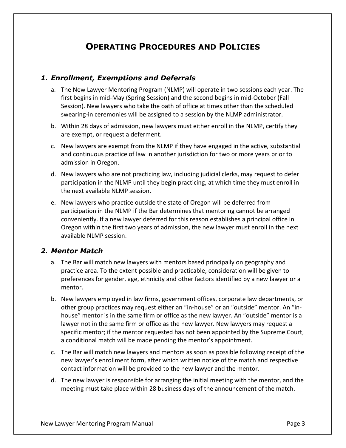# **OPERATING PROCEDURES AND POLICIES**

### <span id="page-4-0"></span>*1. Enrollment, Exemptions and Deferrals*

- a. The New Lawyer Mentoring Program (NLMP) will operate in two sessions each year. The first begins in mid-May (Spring Session) and the second begins in mid-October (Fall Session). New lawyers who take the oath of office at times other than the scheduled swearing-in ceremonies will be assigned to a session by the NLMP administrator.
- b. Within 28 days of admission, new lawyers must either enroll in the NLMP, certify they are exempt, or request a deferment.
- c. New lawyers are exempt from the NLMP if they have engaged in the active, substantial and continuous practice of law in another jurisdiction for two or more years prior to admission in Oregon.
- d. New lawyers who are not practicing law, including judicial clerks, may request to defer participation in the NLMP until they begin practicing, at which time they must enroll in the next available NLMP session.
- e. New lawyers who practice outside the state of Oregon will be deferred from participation in the NLMP if the Bar determines that mentoring cannot be arranged conveniently. If a new lawyer deferred for this reason establishes a principal office in Oregon within the first two years of admission, the new lawyer must enroll in the next available NLMP session.

### *2. Mentor Match*

- a. The Bar will match new lawyers with mentors based principally on geography and practice area. To the extent possible and practicable, consideration will be given to preferences for gender, age, ethnicity and other factors identified by a new lawyer or a mentor.
- b. New lawyers employed in law firms, government offices, corporate law departments, or other group practices may request either an "in-house" or an "outside" mentor. An "inhouse" mentor is in the same firm or office as the new lawyer. An "outside" mentor is a lawyer not in the same firm or office as the new lawyer. New lawyers may request a specific mentor; if the mentor requested has not been appointed by the Supreme Court, a conditional match will be made pending the mentor's appointment.
- c. The Bar will match new lawyers and mentors as soon as possible following receipt of the new lawyer's enrollment form, after which written notice of the match and respective contact information will be provided to the new lawyer and the mentor.
- d. The new lawyer is responsible for arranging the initial meeting with the mentor, and the meeting must take place within 28 business days of the announcement of the match.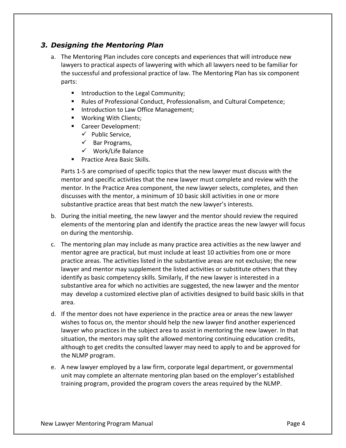## *3. Designing the Mentoring Plan*

- a. The Mentoring Plan includes core concepts and experiences that will introduce new lawyers to practical aspects of lawyering with which all lawyers need to be familiar for the successful and professional practice of law. The Mentoring Plan has six component parts:
	- **Introduction to the Legal Community;**
	- Rules of Professional Conduct, Professionalism, and Cultural Competence;
	- **Introduction to Law Office Management;**
	- **Working With Clients;**
	- Career Development:
		- $\checkmark$  Public Service.
		- $\checkmark$  Bar Programs,
		- $\checkmark$  Work/Life Balance
	- **Practice Area Basic Skills.**

Parts 1-5 are comprised of specific topics that the new lawyer must discuss with the mentor and specific activities that the new lawyer must complete and review with the mentor. In the Practice Area component, the new lawyer selects, completes, and then discusses with the mentor, a minimum of 10 basic skill activities in one or more substantive practice areas that best match the new lawyer's interests.

- b. During the initial meeting, the new lawyer and the mentor should review the required elements of the mentoring plan and identify the practice areas the new lawyer will focus on during the mentorship.
- c. The mentoring plan may include as many practice area activities as the new lawyer and mentor agree are practical, but must include at least 10 activities from one or more practice areas. The activities listed in the substantive areas are not exclusive; the new lawyer and mentor may supplement the listed activities or substitute others that they identify as basic competency skills. Similarly, if the new lawyer is interested in a substantive area for which no activities are suggested, the new lawyer and the mentor may develop a customized elective plan of activities designed to build basic skills in that area.
- d. If the mentor does not have experience in the practice area or areas the new lawyer wishes to focus on, the mentor should help the new lawyer find another experienced lawyer who practices in the subject area to assist in mentoring the new lawyer. In that situation, the mentors may split the allowed mentoring continuing education credits, although to get credits the consulted lawyer may need to apply to and be approved for the NLMP program.
- e. A new lawyer employed by a law firm, corporate legal department, or governmental unit may complete an alternate mentoring plan based on the employer's established training program, provided the program covers the areas required by the NLMP.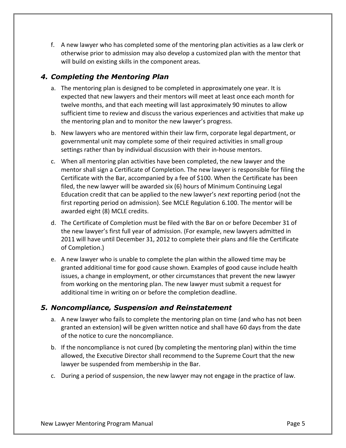f. A new lawyer who has completed some of the mentoring plan activities as a law clerk or otherwise prior to admission may also develop a customized plan with the mentor that will build on existing skills in the component areas.

## *4. Completing the Mentoring Plan*

- a. The mentoring plan is designed to be completed in approximately one year. It is expected that new lawyers and their mentors will meet at least once each month for twelve months, and that each meeting will last approximately 90 minutes to allow sufficient time to review and discuss the various experiences and activities that make up the mentoring plan and to monitor the new lawyer's progress.
- b. New lawyers who are mentored within their law firm, corporate legal department, or governmental unit may complete some of their required activities in small group settings rather than by individual discussion with their in-house mentors.
- c. When all mentoring plan activities have been completed, the new lawyer and the mentor shall sign a Certificate of Completion. The new lawyer is responsible for filing the Certificate with the Bar, accompanied by a fee of \$100. When the Certificate has been filed, the new lawyer will be awarded six (6) hours of Minimum Continuing Legal Education credit that can be applied to the new lawyer's *next* reporting period (not the first reporting period on admission). See MCLE Regulation 6.100. The mentor will be awarded eight (8) MCLE credits.
- d. The Certificate of Completion must be filed with the Bar on or before December 31 of the new lawyer's first full year of admission. (For example, new lawyers admitted in 2011 will have until December 31, 2012 to complete their plans and file the Certificate of Completion.)
- e. A new lawyer who is unable to complete the plan within the allowed time may be granted additional time for good cause shown. Examples of good cause include health issues, a change in employment, or other circumstances that prevent the new lawyer from working on the mentoring plan. The new lawyer must submit a request for additional time in writing on or before the completion deadline.

## *5. Noncompliance, Suspension and Reinstatement*

- a. A new lawyer who fails to complete the mentoring plan on time (and who has not been granted an extension) will be given written notice and shall have 60 days from the date of the notice to cure the noncompliance.
- b. If the noncompliance is not cured (by completing the mentoring plan) within the time allowed, the Executive Director shall recommend to the Supreme Court that the new lawyer be suspended from membership in the Bar.
- c. During a period of suspension, the new lawyer may not engage in the practice of law.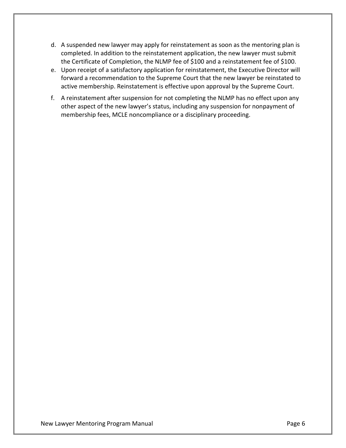- d. A suspended new lawyer may apply for reinstatement as soon as the mentoring plan is completed. In addition to the reinstatement application, the new lawyer must submit the Certificate of Completion, the NLMP fee of \$100 and a reinstatement fee of \$100.
- e. Upon receipt of a satisfactory application for reinstatement, the Executive Director will forward a recommendation to the Supreme Court that the new lawyer be reinstated to active membership. Reinstatement is effective upon approval by the Supreme Court.
- f. A reinstatement after suspension for not completing the NLMP has no effect upon any other aspect of the new lawyer's status, including any suspension for nonpayment of membership fees, MCLE noncompliance or a disciplinary proceeding.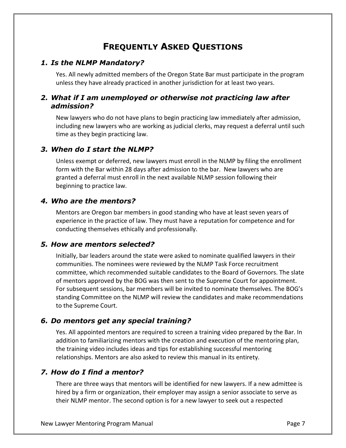# **FREQUENTLY ASKED QUESTIONS**

## <span id="page-8-0"></span>*1. Is the NLMP Mandatory?*

Yes. All newly admitted members of the Oregon State Bar must participate in the program unless they have already practiced in another jurisdiction for at least two years.

### *2. What if I am unemployed or otherwise not practicing law after admission?*

New lawyers who do not have plans to begin practicing law immediately after admission, including new lawyers who are working as judicial clerks, may request a deferral until such time as they begin practicing law.

## *3. When do I start the NLMP?*

Unless exempt or deferred, new lawyers must enroll in the NLMP by filing the enrollment form with the Bar within 28 days after admission to the bar. New lawyers who are granted a deferral must enroll in the next available NLMP session following their beginning to practice law.

### *4. Who are the mentors?*

Mentors are Oregon bar members in good standing who have at least seven years of experience in the practice of law. They must have a reputation for competence and for conducting themselves ethically and professionally.

### *5. How are mentors selected?*

Initially, bar leaders around the state were asked to nominate qualified lawyers in their communities. The nominees were reviewed by the NLMP Task Force recruitment committee, which recommended suitable candidates to the Board of Governors. The slate of mentors approved by the BOG was then sent to the Supreme Court for appointment. For subsequent sessions, bar members will be invited to nominate themselves. The BOG's standing Committee on the NLMP will review the candidates and make recommendations to the Supreme Court.

## *6. Do mentors get any special training?*

Yes. All appointed mentors are required to screen a training video prepared by the Bar. In addition to familiarizing mentors with the creation and execution of the mentoring plan, the training video includes ideas and tips for establishing successful mentoring relationships. Mentors are also asked to review this manual in its entirety.

## *7. How do I find a mentor?*

There are three ways that mentors will be identified for new lawyers. If a new admittee is hired by a firm or organization, their employer may assign a senior associate to serve as their NLMP mentor. The second option is for a new lawyer to seek out a respected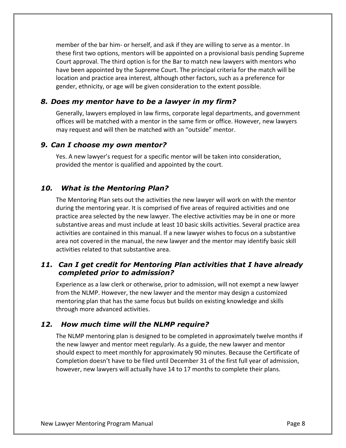member of the bar him- or herself, and ask if they are willing to serve as a mentor. In these first two options, mentors will be appointed on a provisional basis pending Supreme Court approval. The third option is for the Bar to match new lawyers with mentors who have been appointed by the Supreme Court. The principal criteria for the match will be location and practice area interest, although other factors, such as a preference for gender, ethnicity, or age will be given consideration to the extent possible.

### *8. Does my mentor have to be a lawyer in my firm?*

Generally, lawyers employed in law firms, corporate legal departments, and government offices will be matched with a mentor in the same firm or office. However, new lawyers may request and will then be matched with an "outside" mentor.

### *9. Can I choose my own mentor?*

Yes. A new lawyer's request for a specific mentor will be taken into consideration, provided the mentor is qualified and appointed by the court.

## *10. What is the Mentoring Plan?*

The Mentoring Plan sets out the activities the new lawyer will work on with the mentor during the mentoring year. It is comprised of five areas of required activities and one practice area selected by the new lawyer. The elective activities may be in one or more substantive areas and must include at least 10 basic skills activities. Several practice area activities are contained in this manual. If a new lawyer wishes to focus on a substantive area not covered in the manual, the new lawyer and the mentor may identify basic skill activities related to that substantive area.

### *11. Can I get credit for Mentoring Plan activities that I have already completed prior to admission?*

Experience as a law clerk or otherwise, prior to admission, will not exempt a new lawyer from the NLMP. However, the new lawyer and the mentor may design a customized mentoring plan that has the same focus but builds on existing knowledge and skills through more advanced activities.

### *12. How much time will the NLMP require?*

The NLMP mentoring plan is designed to be completed in approximately twelve months if the new lawyer and mentor meet regularly. As a guide, the new lawyer and mentor should expect to meet monthly for approximately 90 minutes. Because the Certificate of Completion doesn't have to be filed until December 31 of the first full year of admission, however, new lawyers will actually have 14 to 17 months to complete their plans.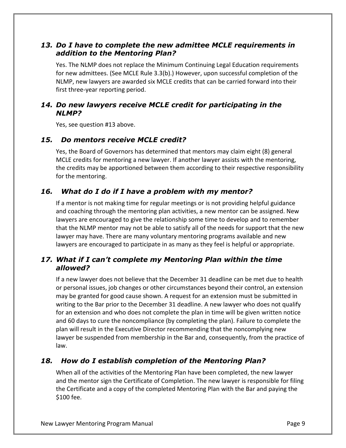## *13. Do I have to complete the new admittee MCLE requirements in addition to the Mentoring Plan?*

Yes. The NLMP does not replace the Minimum Continuing Legal Education requirements for new admittees. (See MCLE Rule 3.3(b).) However, upon successful completion of the NLMP, new lawyers are awarded six MCLE credits that can be carried forward into their first three-year reporting period.

## *14. Do new lawyers receive MCLE credit for participating in the NLMP?*

Yes, see question #13 above.

## *15. Do mentors receive MCLE credit?*

Yes, the Board of Governors has determined that mentors may claim eight (8) general MCLE credits for mentoring a new lawyer. If another lawyer assists with the mentoring, the credits may be apportioned between them according to their respective responsibility for the mentoring.

## *16. What do I do if I have a problem with my mentor?*

If a mentor is not making time for regular meetings or is not providing helpful guidance and coaching through the mentoring plan activities, a new mentor can be assigned. New lawyers are encouraged to give the relationship some time to develop and to remember that the NLMP mentor may not be able to satisfy all of the needs for support that the new lawyer may have. There are many voluntary mentoring programs available and new lawyers are encouraged to participate in as many as they feel is helpful or appropriate.

### *17. What if I can't complete my Mentoring Plan within the time allowed?*

If a new lawyer does not believe that the December 31 deadline can be met due to health or personal issues, job changes or other circumstances beyond their control, an extension may be granted for good cause shown. A request for an extension must be submitted in writing to the Bar prior to the December 31 deadline. A new lawyer who does not qualify for an extension and who does not complete the plan in time will be given written notice and 60 days to cure the noncompliance (by completing the plan). Failure to complete the plan will result in the Executive Director recommending that the noncomplying new lawyer be suspended from membership in the Bar and, consequently, from the practice of law.

## *18. How do I establish completion of the Mentoring Plan?*

When all of the activities of the Mentoring Plan have been completed, the new lawyer and the mentor sign the Certificate of Completion. The new lawyer is responsible for filing the Certificate and a copy of the completed Mentoring Plan with the Bar and paying the \$100 fee.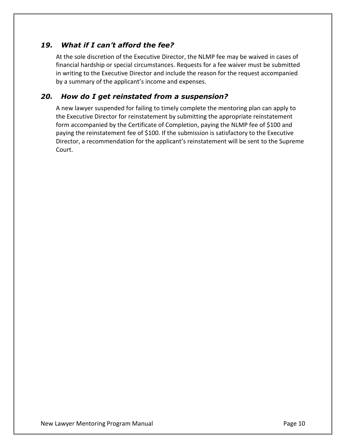## *19. What if I can't afford the fee?*

At the sole discretion of the Executive Director, the NLMP fee may be waived in cases of financial hardship or special circumstances. Requests for a fee waiver must be submitted in writing to the Executive Director and include the reason for the request accompanied by a summary of the applicant's income and expenses.

## *20. How do I get reinstated from a suspension?*

A new lawyer suspended for failing to timely complete the mentoring plan can apply to the Executive Director for reinstatement by submitting the appropriate reinstatement form accompanied by the Certificate of Completion, paying the NLMP fee of \$100 and paying the reinstatement fee of \$100. If the submission is satisfactory to the Executive Director, a recommendation for the applicant's reinstatement will be sent to the Supreme Court.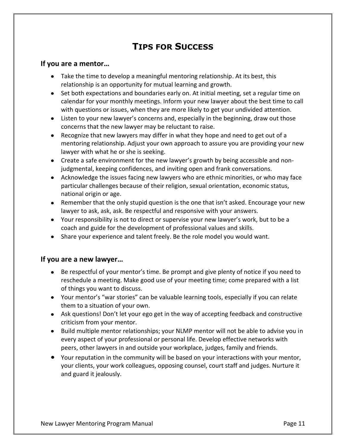# **TIPS FOR SUCCESS**

### <span id="page-12-0"></span>**If you are a mentor…**

- Take the time to develop a meaningful mentoring relationship. At its best, this relationship is an opportunity for mutual learning and growth.
- Set both expectations and boundaries early on. At initial meeting, set a regular time on calendar for your monthly meetings. Inform your new lawyer about the best time to call with questions or issues, when they are more likely to get your undivided attention.
- Listen to your new lawyer's concerns and, especially in the beginning, draw out those concerns that the new lawyer may be reluctant to raise.
- Recognize that new lawyers may differ in what they hope and need to get out of a mentoring relationship. Adjust your own approach to assure you are providing your new lawyer with what he or she is seeking.
- Create a safe environment for the new lawyer's growth by being accessible and nonjudgmental, keeping confidences, and inviting open and frank conversations.
- Acknowledge the issues facing new lawyers who are ethnic minorities, or who may face particular challenges because of their religion, sexual orientation, economic status, national origin or age.
- Remember that the only stupid question is the one that isn't asked. Encourage your new lawyer to ask, ask, ask. Be respectful and responsive with your answers.
- Your responsibility is not to direct or supervise your new lawyer's work, but to be a coach and guide for the development of professional values and skills.
- Share your experience and talent freely. Be the role model you would want.

### **If you are a new lawyer…**

- Be respectful of your mentor's time. Be prompt and give plenty of notice if you need to reschedule a meeting. Make good use of your meeting time; come prepared with a list of things you want to discuss.
- Your mentor's "war stories" can be valuable learning tools, especially if you can relate them to a situation of your own.
- Ask questions! Don't let your ego get in the way of accepting feedback and constructive criticism from your mentor.
- Build multiple mentor relationships; your NLMP mentor will not be able to advise you in every aspect of your professional or personal life. Develop effective networks with peers, other lawyers in and outside your workplace, judges, family and friends.
- Your reputation in the community will be based on your interactions with your mentor, your clients, your work colleagues, opposing counsel, court staff and judges. Nurture it and guard it jealously.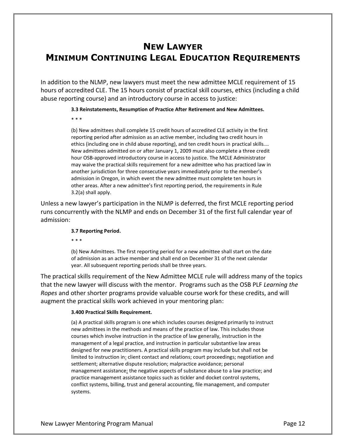# <span id="page-13-0"></span>**NEW LAWYER MINIMUM CONTINUING LEGAL EDUCATION REQUIREMENTS**

In addition to the NLMP, new lawyers must meet the new admittee MCLE requirement of 15 hours of accredited CLE. The 15 hours consist of practical skill courses, ethics (including a child abuse reporting course) and an introductory course in access to justice:

#### **3.3 Reinstatements, Resumption of Practice After Retirement and New Admittees.**

\* \* \*

(b) New admittees shall complete 15 credit hours of accredited CLE activity in the first reporting period after admission as an active member, including two credit hours in ethics (including one in child abuse reporting), and ten credit hours in practical skills.… New admittees admitted on or after January 1, 2009 must also complete a three credit hour OSB-approved introductory course in access to justice. The MCLE Administrator may waive the practical skills requirement for a new admittee who has practiced law in another jurisdiction for three consecutive years immediately prior to the member's admission in Oregon, in which event the new admittee must complete ten hours in other areas. After a new admittee's first reporting period, the requirements in Rule 3.2(a) shall apply.

Unless a new lawyer's participation in the NLMP is deferred, the first MCLE reporting period runs concurrently with the NLMP and ends on December 31 of the first full calendar year of admission:

#### **3.7 Reporting Period.**

\* \* \*

(b) New Admittees. The first reporting period for a new admittee shall start on the date of admission as an active member and shall end on December 31 of the next calendar year. All subsequent reporting periods shall be three years.

The practical skills requirement of the New Admittee MCLE rule will address many of the topics that the new lawyer will discuss with the mentor. Programs such as the OSB PLF *Learning the Ropes* and other shorter programs provide valuable course work for these credits, and will augment the practical skills work achieved in your mentoring plan:

#### **3.400 Practical Skills Requirement.**

(a) A practical skills program is one which includes courses designed primarily to instruct new admittees in the methods and means of the practice of law. This includes those courses which involve instruction in the practice of law generally, instruction in the management of a legal practice, and instruction in particular substantive law areas designed for new practitioners. A practical skills program may include but shall not be limited to instruction in: client contact and relations; court proceedings; negotiation and settlement; alternative dispute resolution; malpractice avoidance; personal management assistance; the negative aspects of substance abuse to a law practice; and practice management assistance topics such as tickler and docket control systems, conflict systems, billing, trust and general accounting, file management, and computer systems.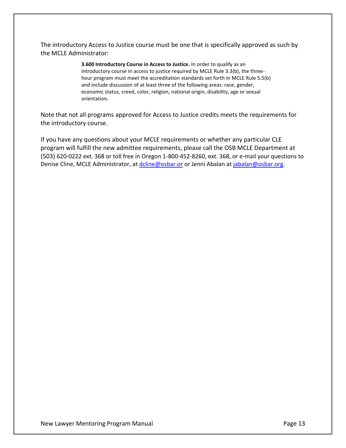The introductory Access to Justice course must be one that is specifically approved as such by the MCLE Administrator:

> **3.600 Introductory Course in Access to Justice.** In order to qualify as an introductory course in access to justice required by MCLE Rule 3.3(b), the threehour program must meet the accreditation standards set forth in MCLE Rule 5.5(b) and include discussion of at least three of the following areas: race, gender, economic status, creed, color, religion, national origin, disability, age or sexual orientation.

Note that not all programs approved for Access to Justice credits meets the requirements for the introductory course.

If you have any questions about your MCLE requirements or whether any particular CLE program will fulfill the new admittee requirements, please call the OSB MCLE Department at (503) 620-0222 ext. 368 or toll free in Oregon 1-800-452-8260, ext. 368, or e-mail your questions to Denise Cline, MCLE Administrator, at [dcline@osbar.or](mailto:dcline@osbar.or) or Jenni Abalan a[t jabalan@osbar.org.](mailto:jabalan@osbar.org)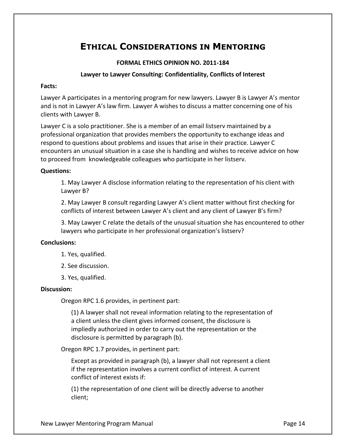# <span id="page-15-0"></span>**ETHICAL CONSIDERATIONS IN MENTORING**

#### **FORMAL ETHICS OPINION NO. 2011-184**

#### **Lawyer to Lawyer Consulting: Confidentiality, Conflicts of Interest**

#### **Facts:**

Lawyer A participates in a mentoring program for new lawyers. Lawyer B is Lawyer A's mentor and is not in Lawyer A's law firm. Lawyer A wishes to discuss a matter concerning one of his clients with Lawyer B.

Lawyer C is a solo practitioner. She is a member of an email listserv maintained by a professional organization that provides members the opportunity to exchange ideas and respond to questions about problems and issues that arise in their practice. Lawyer C encounters an unusual situation in a case she is handling and wishes to receive advice on how to proceed from knowledgeable colleagues who participate in her listserv.

#### **Questions:**

1. May Lawyer A disclose information relating to the representation of his client with Lawyer B?

2. May Lawyer B consult regarding Lawyer A's client matter without first checking for conflicts of interest between Lawyer A's client and any client of Lawyer B's firm?

3. May Lawyer C relate the details of the unusual situation she has encountered to other lawyers who participate in her professional organization's listserv?

#### **Conclusions:**

- 1. Yes, qualified.
- 2. See discussion.
- 3. Yes, qualified.

#### **Discussion:**

Oregon RPC 1.6 provides, in pertinent part:

(1) A lawyer shall not reveal information relating to the representation of a client unless the client gives informed consent, the disclosure is impliedly authorized in order to carry out the representation or the disclosure is permitted by paragraph (b).

Oregon RPC 1.7 provides, in pertinent part:

Except as provided in paragraph (b), a lawyer shall not represent a client if the representation involves a current conflict of interest. A current conflict of interest exists if:

(1) the representation of one client will be directly adverse to another client;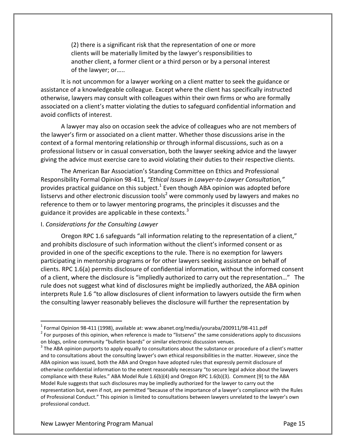(2) there is a significant risk that the representation of one or more clients will be materially limited by the lawyer's responsibilities to another client, a former client or a third person or by a personal interest of the lawyer; or…..

It is not uncommon for a lawyer working on a client matter to seek the guidance or assistance of a knowledgeable colleague. Except where the client has specifically instructed otherwise, lawyers may consult with colleagues within their own firms or who are formally associated on a client's matter violating the duties to safeguard confidential information and avoid conflicts of interest.

A lawyer may also on occasion seek the advice of colleagues who are not members of the lawyer's firm or associated on a client matter. Whether those discussions arise in the context of a formal mentoring relationship or through informal discussions, such as on a professional listserv or in casual conversation, both the lawyer seeking advice and the lawyer giving the advice must exercise care to avoid violating their duties to their respective clients.

The American Bar Association's Standing Committee on Ethics and Professional Responsibility Formal Opinion 98-411, *"Ethical Issues in Lawyer-to-Lawyer Consultation,"* provides practical guidance on this subject.<sup>1</sup> Even though ABA opinion was adopted before listservs and other electronic discussion tools<sup>2</sup> were commonly used by lawyers and makes no reference to them or to lawyer mentoring programs, the principles it discusses and the guidance it provides are applicable in these contexts. $3$ 

#### I. *Considerations for the Consulting Lawyer*

Oregon RPC 1.6 safeguards "all information relating to the representation of a client," and prohibits disclosure of such information without the client's informed consent or as provided in one of the specific exceptions to the rule. There is no exemption for lawyers participating in mentorship programs or for other lawyers seeking assistance on behalf of clients. RPC 1.6(a) permits disclosure of confidential information, without the informed consent of a client, where the disclosure is "impliedly authorized to carry out the representation…" The rule does not suggest what kind of disclosures might be impliedly authorized, the ABA opinion interprets Rule 1.6 "to allow disclosures of client information to lawyers outside the firm when the consulting lawyer reasonably believes the disclosure will further the representation by

 $^{1}$  Formal Opinion 98-411 (1998), available at: www.abanet.org/media/youraba/200911/98-411.pdf  $2$  For purposes of this opinion, when reference is made to "listservs" the same considerations apply to discussions

on blogs, online community "bulletin boards" or similar electronic discussion venues.  $3$  The ABA opinion purports to apply equally to consultations about the substance or procedure of a client's matter and to consultations about the consulting lawyer's own ethical responsibilities in the matter. However, since the ABA opinion was issued, both the ABA and Oregon have adopted rules that expressly permit disclosure of otherwise confidential information to the extent reasonably necessary "to secure legal advice about the lawyers compliance with these Rules." ABA Model Rule 1.6(b)(4) and Oregon RPC 1.6(b)(3). Comment [9] to the ABA Model Rule suggests that such disclosures may be impliedly authorized for the lawyer to carry out the representation but, even if not, are permitted "because of the importance of a lawyer's compliance with the Rules of Professional Conduct." This opinion is limited to consultations between lawyers unrelated to the lawyer's own professional conduct.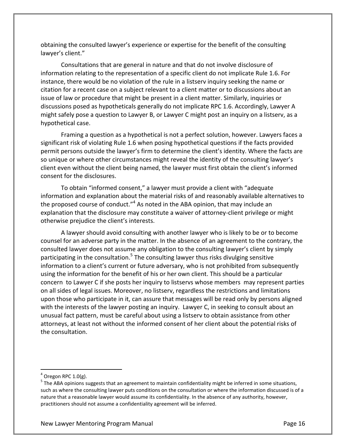obtaining the consulted lawyer's experience or expertise for the benefit of the consulting lawyer's client."

Consultations that are general in nature and that do not involve disclosure of information relating to the representation of a specific client do not implicate Rule 1.6. For instance, there would be no violation of the rule in a listserv inquiry seeking the name or citation for a recent case on a subject relevant to a client matter or to discussions about an issue of law or procedure that might be present in a client matter. Similarly, inquiries or discussions posed as hypotheticals generally do not implicate RPC 1.6. Accordingly, Lawyer A might safely pose a question to Lawyer B, or Lawyer C might post an inquiry on a listserv, as a hypothetical case.

Framing a question as a hypothetical is not a perfect solution, however. Lawyers faces a significant risk of violating Rule 1.6 when posing hypothetical questions if the facts provided permit persons outside the lawyer's firm to determine the client's identity. Where the facts are so unique or where other circumstances might reveal the identity of the consulting lawyer's client even without the client being named, the lawyer must first obtain the client's informed consent for the disclosures.

To obtain "informed consent," a lawyer must provide a client with "adequate information and explanation about the material risks of and reasonably available alternatives to the proposed course of conduct."<sup>4</sup> As noted in the ABA opinion, that may include an explanation that the disclosure may constitute a waiver of attorney-client privilege or might otherwise prejudice the client's interests.

A lawyer should avoid consulting with another lawyer who is likely to be or to become counsel for an adverse party in the matter. In the absence of an agreement to the contrary, the consulted lawyer does not assume any obligation to the consulting lawyer's client by simply participating in the consultation.<sup>5</sup> The consulting lawyer thus risks divulging sensitive information to a client's current or future adversary, who is not prohibited from subsequently using the information for the benefit of his or her own client. This should be a particular concern to Lawyer C if she posts her inquiry to listservs whose members may represent parties on all sides of legal issues. Moreover, no listserv, regardless the restrictions and limitations upon those who participate in it, can assure that messages will be read only by persons aligned with the interests of the lawyer posting an inquiry. Lawyer C, in seeking to consult about an unusual fact pattern, must be careful about using a listserv to obtain assistance from other attorneys, at least not without the informed consent of her client about the potential risks of the consultation.

 $^4$  Oregon RPC 1.0(g).

<sup>&</sup>lt;sup>5</sup> The ABA opinions suggests that an agreement to maintain confidentiality might be inferred in some situations, such as where the consulting lawyer puts conditions on the consultation or where the information discussed is of a nature that a reasonable lawyer would assume its confidentiality. In the absence of any authority, however, practitioners should not assume a confidentiality agreement will be inferred.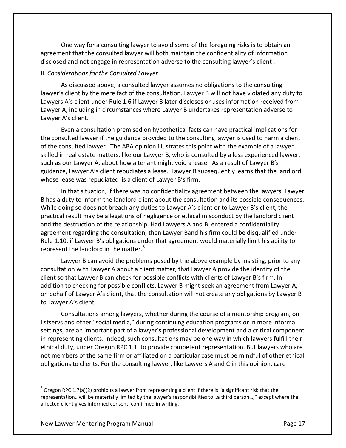One way for a consulting lawyer to avoid some of the foregoing risks is to obtain an agreement that the consulted lawyer will both maintain the confidentiality of information disclosed and not engage in representation adverse to the consulting lawyer's client .

#### II. *Considerations for the Consulted Lawyer*

As discussed above, a consulted lawyer assumes no obligations to the consulting lawyer's client by the mere fact of the consultation. Lawyer B will not have violated any duty to Lawyers A's client under Rule 1.6 if Lawyer B later discloses or uses information received from Lawyer A, including in circumstances where Lawyer B undertakes representation adverse to Lawyer A's client.

Even a consultation premised on hypothetical facts can have practical implications for the consulted lawyer if the guidance provided to the consulting lawyer is used to harm a client of the consulted lawyer. The ABA opinion illustrates this point with the example of a lawyer skilled in real estate matters, like our Lawyer B, who is consulted by a less experienced lawyer, such as our Lawyer A, about how a tenant might void a lease. As a result of Lawyer B's guidance, Lawyer A's client repudiates a lease. Lawyer B subsequently learns that the landlord whose lease was repudiated is a client of Lawyer B's firm.

In that situation, if there was no confidentiality agreement between the lawyers, Lawyer B has a duty to inform the landlord client about the consultation and its possible consequences. While doing so does not breach any duties to Lawyer A's client or to Lawyer B's client, the practical result may be allegations of negligence or ethical misconduct by the landlord client and the destruction of the relationship. Had Lawyers A and B entered a confidentiality agreement regarding the consultation, then Lawyer Band his firm could be disqualified under Rule 1.10. if Lawyer B's obligations under that agreement would materially limit his ability to represent the landlord in the matter.<sup>6</sup>

Lawyer B can avoid the problems posed by the above example by insisting, prior to any consultation with Lawyer A about a client matter, that Lawyer A provide the identity of the client so that Lawyer B can check for possible conflicts with clients of Lawyer B's firm. In addition to checking for possible conflicts, Lawyer B might seek an agreement from Lawyer A, on behalf of Lawyer A's client, that the consultation will not create any obligations by Lawyer B to Lawyer A's client.

Consultations among lawyers, whether during the course of a mentorship program, on listservs and other "social media," during continuing education programs or in more informal settings, are an important part of a lawyer's professional development and a critical component in representing clients. Indeed, such consultations may be one way in which lawyers fulfill their ethical duty, under Oregon RPC 1.1, to provide competent representation. But lawyers who are not members of the same firm or affiliated on a particular case must be mindful of other ethical obligations to clients. For the consulting lawyer, like Lawyers A and C in this opinion, care

 $^6$  Oregon RPC 1.7(a)(2) prohibits a lawyer from representing a client if there is "a significant risk that the representation…will be materially limited by the lawyer's responsibilities to…a third person…," except where the affected client gives informed consent, confirmed in writing.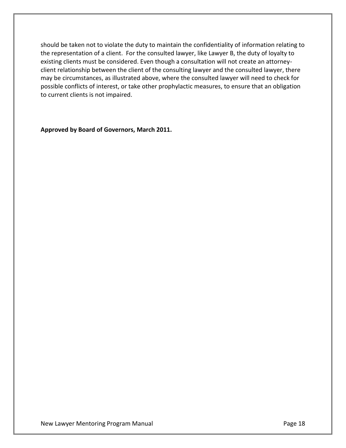should be taken not to violate the duty to maintain the confidentiality of information relating to the representation of a client. For the consulted lawyer, like Lawyer B, the duty of loyalty to existing clients must be considered. Even though a consultation will not create an attorneyclient relationship between the client of the consulting lawyer and the consulted lawyer, there may be circumstances, as illustrated above, where the consulted lawyer will need to check for possible conflicts of interest, or take other prophylactic measures, to ensure that an obligation to current clients is not impaired.

**Approved by Board of Governors, March 2011.**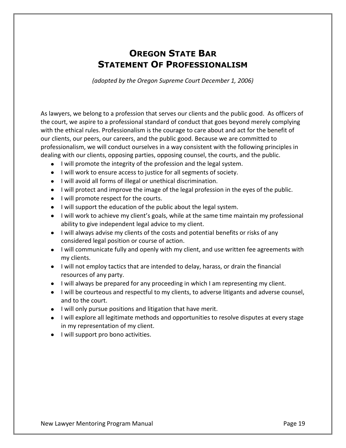# <span id="page-20-0"></span>**OREGON STATE BAR STATEMENT OF PROFESSIONALISM**

*(adopted by the Oregon Supreme Court December 1, 2006)*

As lawyers, we belong to a profession that serves our clients and the public good. As officers of the court, we aspire to a professional standard of conduct that goes beyond merely complying with the ethical rules. Professionalism is the courage to care about and act for the benefit of our clients, our peers, our careers, and the public good. Because we are committed to professionalism, we will conduct ourselves in a way consistent with the following principles in dealing with our clients, opposing parties, opposing counsel, the courts, and the public.

- I will promote the integrity of the profession and the legal system.
- I will work to ensure access to justice for all segments of society.
- I will avoid all forms of illegal or unethical discrimination.
- I will protect and improve the image of the legal profession in the eyes of the public.
- I will promote respect for the courts.
- I will support the education of the public about the legal system.
- I will work to achieve my client's goals, while at the same time maintain my professional ability to give independent legal advice to my client.
- I will always advise my clients of the costs and potential benefits or risks of any considered legal position or course of action.
- I will communicate fully and openly with my client, and use written fee agreements with my clients.
- I will not employ tactics that are intended to delay, harass, or drain the financial resources of any party.
- I will always be prepared for any proceeding in which I am representing my client.
- I will be courteous and respectful to my clients, to adverse litigants and adverse counsel, and to the court.
- I will only pursue positions and litigation that have merit.
- I will explore all legitimate methods and opportunities to resolve disputes at every stage in my representation of my client.
- I will support pro bono activities.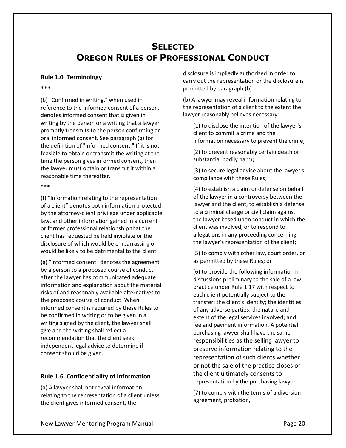# **SELECTED OREGON RULES OF PROFESSIONAL CONDUCT**

#### <span id="page-21-0"></span>**Rule 1.0 Terminology**

**\*\*\***

(b) "Confirmed in writing," when used in reference to the informed consent of a person, denotes informed consent that is given in writing by the person or a writing that a lawyer promptly transmits to the person confirming an oral informed consent. See paragraph (g) for the definition of "informed consent." If it is not feasible to obtain or transmit the writing at the time the person gives informed consent, then the lawyer must obtain or transmit it within a reasonable time thereafter.

\*\*\*

(f) "Information relating to the representation of a client" denotes both information protected by the attorney-client privilege under applicable law, and other information gained in a current or former professional relationship that the client has requested be held inviolate or the disclosure of which would be embarrassing or would be likely to be detrimental to the client.

(g) "Informed consent" denotes the agreement by a person to a proposed course of conduct after the lawyer has communicated adequate information and explanation about the material risks of and reasonably available alternatives to the proposed course of conduct. When informed consent is required by these Rules to be confirmed in writing or to be given in a writing signed by the client, the lawyer shall give and the writing shall reflect a recommendation that the client seek independent legal advice to determine if consent should be given.

### **Rule 1.6 Confidentiality of Information**

(a) A lawyer shall not reveal information relating to the representation of a client unless the client gives informed consent, the

disclosure is impliedly authorized in order to carry out the representation or the disclosure is permitted by paragraph (b).

(b) A lawyer may reveal information relating to the representation of a client to the extent the lawyer reasonably believes necessary:

(1) to disclose the intention of the lawyer's client to commit a crime and the information necessary to prevent the crime;

(2) to prevent reasonably certain death or substantial bodily harm;

(3) to secure legal advice about the lawyer's compliance with these Rules;

(4) to establish a claim or defense on behalf of the lawyer in a controversy between the lawyer and the client, to establish a defense to a criminal charge or civil claim against the lawyer based upon conduct in which the client was involved, or to respond to allegations in any proceeding concerning the lawyer's representation of the client;

(5) to comply with other law, court order, or as permitted by these Rules; or

(6) to provide the following information in discussions preliminary to the sale of a law practice under Rule 1.17 with respect to each client potentially subject to the transfer: the client's identity; the identities of any adverse parties; the nature and extent of the legal services involved; and fee and payment information. A potential purchasing lawyer shall have the same responsibilities as the selling lawyer to preserve information relating to the representation of such clients whether or not the sale of the practice closes or the client ultimately consents to representation by the purchasing lawyer.

(7) to comply with the terms of a diversion agreement, probation,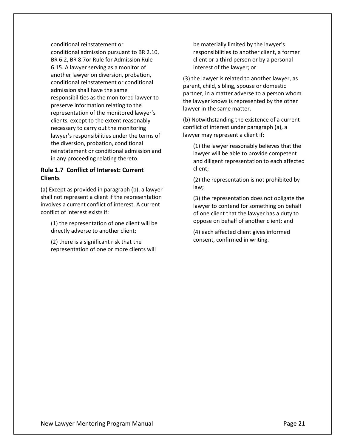conditional reinstatement or conditional admission pursuant to BR 2.10, BR 6.2, BR 8.7or Rule for Admission Rule 6.15. A lawyer serving as a monitor of another lawyer on diversion, probation, conditional reinstatement or conditional admission shall have the same responsibilities as the monitored lawyer to preserve information relating to the representation of the monitored lawyer's clients, except to the extent reasonably necessary to carry out the monitoring lawyer's responsibilities under the terms of the diversion, probation, conditional reinstatement or conditional admission and in any proceeding relating thereto.

#### **Rule 1.7 Conflict of Interest: Current Clients**

(a) Except as provided in paragraph (b), a lawyer shall not represent a client if the representation involves a current conflict of interest. A current conflict of interest exists if:

- (1) the representation of one client will be directly adverse to another client;
- (2) there is a significant risk that the representation of one or more clients will

be materially limited by the lawyer's responsibilities to another client, a former client or a third person or by a personal interest of the lawyer; or

(3) the lawyer is related to another lawyer, as parent, child, sibling, spouse or domestic partner, in a matter adverse to a person whom the lawyer knows is represented by the other lawyer in the same matter.

(b) Notwithstanding the existence of a current conflict of interest under paragraph (a), a lawyer may represent a client if:

(1) the lawyer reasonably believes that the lawyer will be able to provide competent and diligent representation to each affected client;

(2) the representation is not prohibited by law;

(3) the representation does not obligate the lawyer to contend for something on behalf of one client that the lawyer has a duty to oppose on behalf of another client; and

(4) each affected client gives informed consent, confirmed in writing.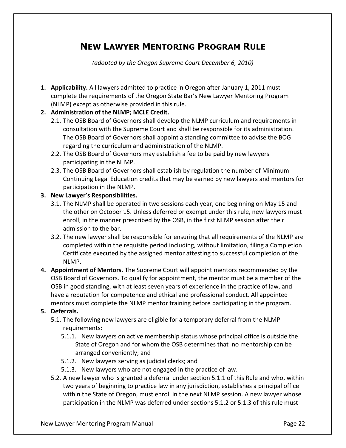# <span id="page-23-0"></span>**NEW LAWYER MENTORING PROGRAM RULE**

*(adopted by the Oregon Supreme Court December 6, 2010)*

**1. Applicability.** All lawyers admitted to practice in Oregon after January 1, 2011 must complete the requirements of the Oregon State Bar's New Lawyer Mentoring Program (NLMP) except as otherwise provided in this rule.

### **2. Administration of the NLMP; MCLE Credit.**

- 2.1. The OSB Board of Governors shall develop the NLMP curriculum and requirements in consultation with the Supreme Court and shall be responsible for its administration. The OSB Board of Governors shall appoint a standing committee to advise the BOG regarding the curriculum and administration of the NLMP.
- 2.2. The OSB Board of Governors may establish a fee to be paid by new lawyers participating in the NLMP.
- 2.3. The OSB Board of Governors shall establish by regulation the number of Minimum Continuing Legal Education credits that may be earned by new lawyers and mentors for participation in the NLMP.

### **3. New Lawyer's Responsibilities.**

- 3.1. The NLMP shall be operated in two sessions each year, one beginning on May 15 and the other on October 15. Unless deferred or exempt under this rule, new lawyers must enroll, in the manner prescribed by the OSB, in the first NLMP session after their admission to the bar.
- 3.2. The new lawyer shall be responsible for ensuring that all requirements of the NLMP are completed within the requisite period including, without limitation, filing a Completion Certificate executed by the assigned mentor attesting to successful completion of the NLMP.
- **4. Appointment of Mentors.** The Supreme Court will appoint mentors recommended by the OSB Board of Governors. To qualify for appointment, the mentor must be a member of the OSB in good standing, with at least seven years of experience in the practice of law, and have a reputation for competence and ethical and professional conduct. All appointed mentors must complete the NLMP mentor training before participating in the program.

### **5. Deferrals.**

- 5.1. The following new lawyers are eligible for a temporary deferral from the NLMP requirements:
	- 5.1.1. New lawyers on active membership status whose principal office is outside the State of Oregon and for whom the OSB determines that no mentorship can be arranged conveniently; and
	- 5.1.2. New lawyers serving as judicial clerks; and
	- 5.1.3. New lawyers who are not engaged in the practice of law.
- 5.2. A new lawyer who is granted a deferral under section 5.1.1 of this Rule and who, within two years of beginning to practice law in any jurisdiction, establishes a principal office within the State of Oregon, must enroll in the next NLMP session. A new lawyer whose participation in the NLMP was deferred under sections 5.1.2 or 5.1.3 of this rule must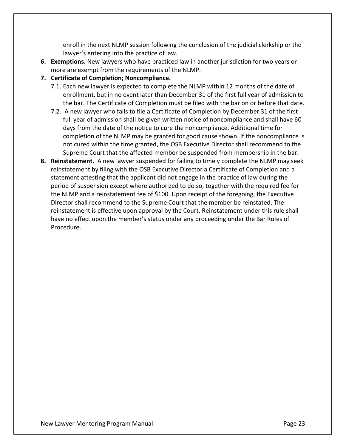enroll in the next NLMP session following the conclusion of the judicial clerkship or the lawyer's entering into the practice of law.

- **6. Exemptions.** New lawyers who have practiced law in another jurisdiction for two years or more are exempt from the requirements of the NLMP.
- **7. Certificate of Completion; Noncompliance.** 
	- 7.1. Each new lawyer is expected to complete the NLMP within 12 months of the date of enrollment, but in no event later than December 31 of the first full year of admission to the bar. The Certificate of Completion must be filed with the bar on or before that date.
	- 7.2. A new lawyer who fails to file a Certificate of Completion by December 31 of the first full year of admission shall be given written notice of noncompliance and shall have 60 days from the date of the notice to cure the noncompliance. Additional time for completion of the NLMP may be granted for good cause shown. If the noncompliance is not cured within the time granted, the OSB Executive Director shall recommend to the Supreme Court that the affected member be suspended from membership in the bar.
- **8. Reinstatement.** A new lawyer suspended for failing to timely complete the NLMP may seek reinstatement by filing with the OSB Executive Director a Certificate of Completion and a statement attesting that the applicant did not engage in the practice of law during the period of suspension except where authorized to do so, together with the required fee for the NLMP and a reinstatement fee of \$100. Upon receipt of the foregoing, the Executive Director shall recommend to the Supreme Court that the member be reinstated. The reinstatement is effective upon approval by the Court. Reinstatement under this rule shall have no effect upon the member's status under any proceeding under the Bar Rules of Procedure.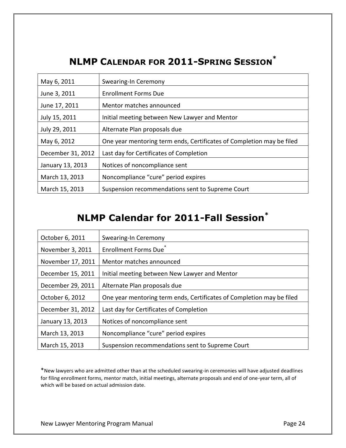# **NLMP CALENDAR FOR 2011-SPRING SESSION \***

<span id="page-25-0"></span>

| May 6, 2011       | Swearing-In Ceremony                                                  |
|-------------------|-----------------------------------------------------------------------|
| June 3, 2011      | <b>Enrollment Forms Due</b>                                           |
| June 17, 2011     | Mentor matches announced                                              |
| July 15, 2011     | Initial meeting between New Lawyer and Mentor                         |
| July 29, 2011     | Alternate Plan proposals due                                          |
| May 6, 2012       | One year mentoring term ends, Certificates of Completion may be filed |
| December 31, 2012 | Last day for Certificates of Completion                               |
| January 13, 2013  | Notices of noncompliance sent                                         |
| March 13, 2013    | Noncompliance "cure" period expires                                   |
| March 15, 2013    | Suspension recommendations sent to Supreme Court                      |

# **NLMP Calendar for 2011-Fall Session\***

<span id="page-25-1"></span>

| October 6, 2011   | Swearing-In Ceremony                                                  |  |
|-------------------|-----------------------------------------------------------------------|--|
| November 3, 2011  | Enrollment Forms Due                                                  |  |
| November 17, 2011 | Mentor matches announced                                              |  |
| December 15, 2011 | Initial meeting between New Lawyer and Mentor                         |  |
| December 29, 2011 | Alternate Plan proposals due                                          |  |
| October 6, 2012   | One year mentoring term ends, Certificates of Completion may be filed |  |
| December 31, 2012 | Last day for Certificates of Completion                               |  |
| January 13, 2013  | Notices of noncompliance sent                                         |  |
| March 13, 2013    | Noncompliance "cure" period expires                                   |  |
| March 15, 2013    | Suspension recommendations sent to Supreme Court                      |  |

\*New lawyers who are admitted other than at the scheduled swearing-in ceremonies will have adjusted deadlines for filing enrollment forms, mentor match, initial meetings, alternate proposals and end of one-year term, all of which will be based on actual admission date.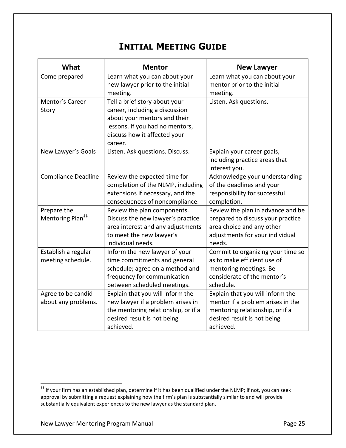# **INITIAL MEETING GUIDE**

<span id="page-26-0"></span>

| What                         | <b>Mentor</b>                       | <b>New Lawyer</b>                 |
|------------------------------|-------------------------------------|-----------------------------------|
| Come prepared                | Learn what you can about your       | Learn what you can about your     |
|                              | new lawyer prior to the initial     | mentor prior to the initial       |
|                              | meeting.                            | meeting.                          |
| Mentor's Career              | Tell a brief story about your       | Listen. Ask questions.            |
| Story                        | career, including a discussion      |                                   |
|                              | about your mentors and their        |                                   |
|                              | lessons. If you had no mentors,     |                                   |
|                              | discuss how it affected your        |                                   |
|                              | career.                             |                                   |
| New Lawyer's Goals           | Listen. Ask questions. Discuss.     | Explain your career goals,        |
|                              |                                     | including practice areas that     |
|                              |                                     | interest you.                     |
| <b>Compliance Deadline</b>   | Review the expected time for        | Acknowledge your understanding    |
|                              | completion of the NLMP, including   | of the deadlines and your         |
|                              | extensions if necessary, and the    | responsibility for successful     |
|                              | consequences of noncompliance.      | completion.                       |
| Prepare the                  | Review the plan components.         | Review the plan in advance and be |
| Mentoring Plan <sup>##</sup> | Discuss the new lawyer's practice   | prepared to discuss your practice |
|                              | area interest and any adjustments   | area choice and any other         |
|                              | to meet the new lawyer's            | adjustments for your individual   |
|                              | individual needs.                   | needs.                            |
| Establish a regular          | Inform the new lawyer of your       | Commit to organizing your time so |
| meeting schedule.            | time commitments and general        | as to make efficient use of       |
|                              | schedule; agree on a method and     | mentoring meetings. Be            |
|                              | frequency for communication         | considerate of the mentor's       |
|                              | between scheduled meetings.         | schedule.                         |
| Agree to be candid           | Explain that you will inform the    | Explain that you will inform the  |
| about any problems.          | new lawyer if a problem arises in   | mentor if a problem arises in the |
|                              | the mentoring relationship, or if a | mentoring relationship, or if a   |
|                              | desired result is not being         | desired result is not being       |
|                              | achieved.                           | achieved.                         |

<sup>&</sup>lt;sup>##</sup> If your firm has an established plan, determine if it has been qualified under the NLMP; if not, you can seek approval by submitting a request explaining how the firm's plan is substantially similar to and will provide substantially equivalent experiences to the new lawyer as the standard plan.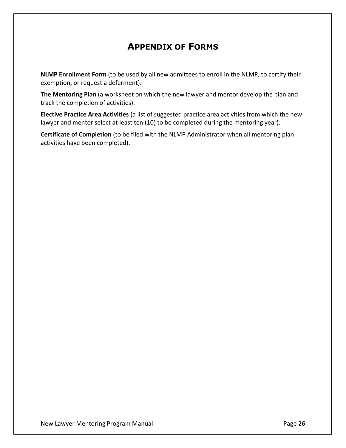# **APPENDIX OF FORMS**

<span id="page-27-0"></span>**NLMP Enrollment Form** (to be used by all new admittees to enroll in the NLMP, to certify their exemption, or request a deferment).

**The Mentoring Plan** (a worksheet on which the new lawyer and mentor develop the plan and track the completion of activities).

**Elective Practice Area Activities** (a list of suggested practice area activities from which the new lawyer and mentor select at least ten (10) to be completed during the mentoring year).

**Certificate of Completion** (to be filed with the NLMP Administrator when all mentoring plan activities have been completed).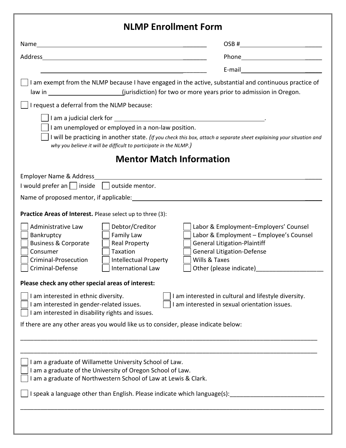# **NLMP Enrollment Form**

|                                                                                                                                                                                                                                                                                                                                     | E-mail                                                                                                                                                                                                 |
|-------------------------------------------------------------------------------------------------------------------------------------------------------------------------------------------------------------------------------------------------------------------------------------------------------------------------------------|--------------------------------------------------------------------------------------------------------------------------------------------------------------------------------------------------------|
| I am exempt from the NLMP because I have engaged in the active, substantial and continuous practice of<br>law in _______________________(jurisdiction) for two or more years prior to admission in Oregon.                                                                                                                          |                                                                                                                                                                                                        |
| I request a deferral from the NLMP because:                                                                                                                                                                                                                                                                                         |                                                                                                                                                                                                        |
| $\Box$ I am a judicial clerk for $\Box$ . The contract of the contract of $\Box$<br>I am unemployed or employed in a non-law position.<br>I will be practicing in another state. (If you check this box, attach a separate sheet explaining your situation and<br>why you believe it will be difficult to participate in the NLMP.) |                                                                                                                                                                                                        |
| <b>Mentor Match Information</b>                                                                                                                                                                                                                                                                                                     |                                                                                                                                                                                                        |
| I would prefer an $\Box$ inside $\Box$ outside mentor.                                                                                                                                                                                                                                                                              |                                                                                                                                                                                                        |
| Practice Areas of Interest. Please select up to three (3):                                                                                                                                                                                                                                                                          |                                                                                                                                                                                                        |
| Administrative Law<br>Debtor/Creditor<br>Family Law<br>Bankruptcy<br><b>Business &amp; Corporate</b><br>Real Property<br>Consumer<br>Taxation<br>Wills & Taxes<br>Criminal-Prosecution<br><b>Intellectual Property</b><br>Criminal-Defense<br>International Law                                                                     | Labor & Employment-Employers' Counsel<br>Labor & Employment - Employee's Counsel<br><b>General Litigation-Plaintiff</b><br><b>General Litigation-Defense</b><br>Other (please indicate)_______________ |
| Please check any other special areas of interest:                                                                                                                                                                                                                                                                                   |                                                                                                                                                                                                        |
| I am interested in ethnic diversity.<br>I am interested in gender-related issues.<br>am interested in disability rights and issues.<br>If there are any other areas you would like us to consider, please indicate below:                                                                                                           | I am interested in cultural and lifestyle diversity.<br>I am interested in sexual orientation issues.                                                                                                  |
|                                                                                                                                                                                                                                                                                                                                     |                                                                                                                                                                                                        |
| I am a graduate of Willamette University School of Law.<br>am a graduate of the University of Oregon School of Law.<br>am a graduate of Northwestern School of Law at Lewis & Clark.<br>speak a language other than English. Please indicate which language(s):                                                                     |                                                                                                                                                                                                        |
|                                                                                                                                                                                                                                                                                                                                     |                                                                                                                                                                                                        |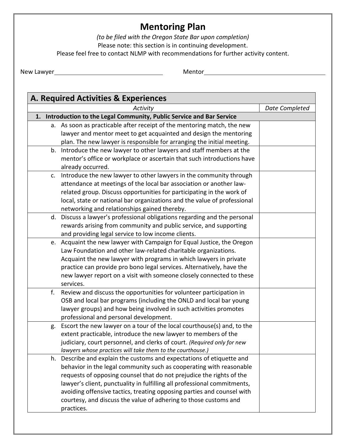# **Mentoring Plan**

*(to be filed with the Oregon State Bar upon completion)* Please note: this section is in continuing development. Please feel free to contact NLMP with recommendations for further activity content.

|  | New Lawyer |
|--|------------|
|--|------------|

New Lawyer Mentor

| A. Required Activities & Experiences |                                                                                                                                                                                                                                                                                                                                                                                                                                                              |                       |
|--------------------------------------|--------------------------------------------------------------------------------------------------------------------------------------------------------------------------------------------------------------------------------------------------------------------------------------------------------------------------------------------------------------------------------------------------------------------------------------------------------------|-----------------------|
|                                      | Activity                                                                                                                                                                                                                                                                                                                                                                                                                                                     | <b>Date Completed</b> |
|                                      | 1. Introduction to the Legal Community, Public Service and Bar Service                                                                                                                                                                                                                                                                                                                                                                                       |                       |
|                                      | a. As soon as practicable after receipt of the mentoring match, the new<br>lawyer and mentor meet to get acquainted and design the mentoring<br>plan. The new lawyer is responsible for arranging the initial meeting.                                                                                                                                                                                                                                       |                       |
| b.                                   | Introduce the new lawyer to other lawyers and staff members at the<br>mentor's office or workplace or ascertain that such introductions have<br>already occurred.                                                                                                                                                                                                                                                                                            |                       |
| c.                                   | Introduce the new lawyer to other lawyers in the community through<br>attendance at meetings of the local bar association or another law-<br>related group. Discuss opportunities for participating in the work of<br>local, state or national bar organizations and the value of professional<br>networking and relationships gained thereby.                                                                                                               |                       |
|                                      | d. Discuss a lawyer's professional obligations regarding and the personal<br>rewards arising from community and public service, and supporting<br>and providing legal service to low income clients.                                                                                                                                                                                                                                                         |                       |
|                                      | e. Acquaint the new lawyer with Campaign for Equal Justice, the Oregon<br>Law Foundation and other law-related charitable organizations.<br>Acquaint the new lawyer with programs in which lawyers in private<br>practice can provide pro bono legal services. Alternatively, have the<br>new lawyer report on a visit with someone closely connected to these<br>services.                                                                                  |                       |
| f.                                   | Review and discuss the opportunities for volunteer participation in<br>OSB and local bar programs (including the ONLD and local bar young<br>lawyer groups) and how being involved in such activities promotes<br>professional and personal development.                                                                                                                                                                                                     |                       |
| g.                                   | Escort the new lawyer on a tour of the local courthouse(s) and, to the<br>extent practicable, introduce the new lawyer to members of the<br>judiciary, court personnel, and clerks of court. (Required only for new<br>lawyers whose practices will take them to the courthouse.)                                                                                                                                                                            |                       |
|                                      | h. Describe and explain the customs and expectations of etiquette and<br>behavior in the legal community such as cooperating with reasonable<br>requests of opposing counsel that do not prejudice the rights of the<br>lawyer's client, punctuality in fulfilling all professional commitments,<br>avoiding offensive tactics, treating opposing parties and counsel with<br>courtesy, and discuss the value of adhering to those customs and<br>practices. |                       |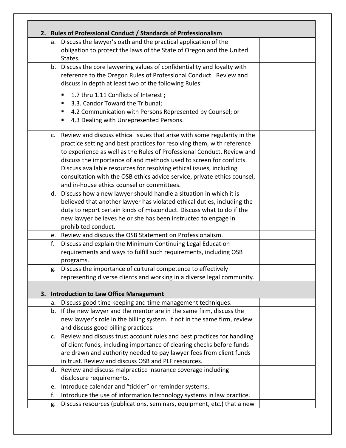|                | 2. Rules of Professional Conduct / Standards of Professionalism                                                                                 |  |
|----------------|-------------------------------------------------------------------------------------------------------------------------------------------------|--|
| а.             | Discuss the lawyer's oath and the practical application of the                                                                                  |  |
|                | obligation to protect the laws of the State of Oregon and the United                                                                            |  |
|                | States.                                                                                                                                         |  |
|                | b. Discuss the core lawyering values of confidentiality and loyalty with                                                                        |  |
|                | reference to the Oregon Rules of Professional Conduct. Review and                                                                               |  |
|                | discuss in depth at least two of the following Rules:                                                                                           |  |
|                | 1.7 thru 1.11 Conflicts of Interest;                                                                                                            |  |
|                | 3.3. Candor Toward the Tribunal;<br>п                                                                                                           |  |
|                | 4.2 Communication with Persons Represented by Counsel; or                                                                                       |  |
|                | 4.3 Dealing with Unrepresented Persons.                                                                                                         |  |
|                |                                                                                                                                                 |  |
| C <sub>1</sub> | Review and discuss ethical issues that arise with some regularity in the                                                                        |  |
|                | practice setting and best practices for resolving them, with reference                                                                          |  |
|                | to experience as well as the Rules of Professional Conduct. Review and                                                                          |  |
|                | discuss the importance of and methods used to screen for conflicts.                                                                             |  |
|                | Discuss available resources for resolving ethical issues, including                                                                             |  |
|                | consultation with the OSB ethics advice service, private ethics counsel,                                                                        |  |
|                | and in-house ethics counsel or committees.                                                                                                      |  |
|                | d. Discuss how a new lawyer should handle a situation in which it is<br>believed that another lawyer has violated ethical duties, including the |  |
|                | duty to report certain kinds of misconduct. Discuss what to do if the                                                                           |  |
|                | new lawyer believes he or she has been instructed to engage in                                                                                  |  |
|                | prohibited conduct.                                                                                                                             |  |
|                | e. Review and discuss the OSB Statement on Professionalism.                                                                                     |  |
| f.             | Discuss and explain the Minimum Continuing Legal Education                                                                                      |  |
|                | requirements and ways to fulfill such requirements, including OSB                                                                               |  |
|                | programs.                                                                                                                                       |  |
| g.             | Discuss the importance of cultural competence to effectively                                                                                    |  |
|                | representing diverse clients and working in a diverse legal community.                                                                          |  |
| 3.             | <b>Introduction to Law Office Management</b>                                                                                                    |  |
| a.             | Discuss good time keeping and time management techniques.                                                                                       |  |
|                | b. If the new lawyer and the mentor are in the same firm, discuss the                                                                           |  |
|                | new lawyer's role in the billing system. If not in the same firm, review                                                                        |  |
|                | and discuss good billing practices.                                                                                                             |  |
| C.             | Review and discuss trust account rules and best practices for handling                                                                          |  |
|                | of client funds, including importance of clearing checks before funds                                                                           |  |
|                | are drawn and authority needed to pay lawyer fees from client funds                                                                             |  |
|                | in trust. Review and discuss OSB and PLF resources.                                                                                             |  |
|                | d. Review and discuss malpractice insurance coverage including                                                                                  |  |
|                | disclosure requirements.                                                                                                                        |  |
| e.             | Introduce calendar and "tickler" or reminder systems.                                                                                           |  |
| f.             | Introduce the use of information technology systems in law practice.                                                                            |  |
| g.             | Discuss resources (publications, seminars, equipment, etc.) that a new                                                                          |  |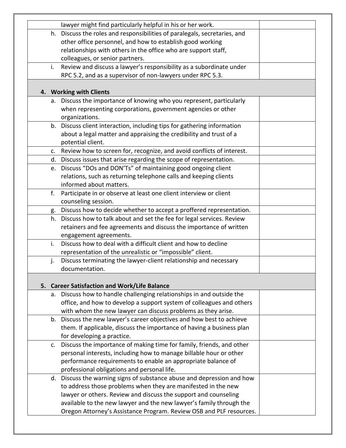|    | lawyer might find particularly helpful in his or her work.                |  |
|----|---------------------------------------------------------------------------|--|
|    | h. Discuss the roles and responsibilities of paralegals, secretaries, and |  |
|    | other office personnel, and how to establish good working                 |  |
|    | relationships with others in the office who are support staff,            |  |
|    | colleagues, or senior partners.                                           |  |
| i. | Review and discuss a lawyer's responsibility as a subordinate under       |  |
|    | RPC 5.2, and as a supervisor of non-lawyers under RPC 5.3.                |  |
|    |                                                                           |  |
|    | 4. Working with Clients                                                   |  |
|    | a. Discuss the importance of knowing who you represent, particularly      |  |
|    | when representing corporations, government agencies or other              |  |
|    | organizations.                                                            |  |
|    | b. Discuss client interaction, including tips for gathering information   |  |
|    | about a legal matter and appraising the credibility and trust of a        |  |
|    | potential client.                                                         |  |
|    | c. Review how to screen for, recognize, and avoid conflicts of interest.  |  |
|    | d. Discuss issues that arise regarding the scope of representation.       |  |
|    | e. Discuss "DOs and DON'Ts" of maintaining good ongoing client            |  |
|    | relations, such as returning telephone calls and keeping clients          |  |
|    | informed about matters.                                                   |  |
| f. | Participate in or observe at least one client interview or client         |  |
|    | counseling session.                                                       |  |
|    | g. Discuss how to decide whether to accept a proffered representation.    |  |
|    | h. Discuss how to talk about and set the fee for legal services. Review   |  |
|    | retainers and fee agreements and discuss the importance of written        |  |
|    | engagement agreements.                                                    |  |
| i. | Discuss how to deal with a difficult client and how to decline            |  |
|    | representation of the unrealistic or "impossible" client.                 |  |
| j. | Discuss terminating the lawyer-client relationship and necessary          |  |
|    | documentation.                                                            |  |
|    |                                                                           |  |
|    | 5. Career Satisfaction and Work/Life Balance                              |  |
|    | a. Discuss how to handle challenging relationships in and outside the     |  |
|    | office, and how to develop a support system of colleagues and others      |  |
|    | with whom the new lawyer can discuss problems as they arise.              |  |
|    | b. Discuss the new lawyer's career objectives and how best to achieve     |  |
|    | them. If applicable, discuss the importance of having a business plan     |  |
|    | for developing a practice.                                                |  |
|    | c. Discuss the importance of making time for family, friends, and other   |  |
|    | personal interests, including how to manage billable hour or other        |  |
|    | performance requirements to enable an appropriate balance of              |  |
|    | professional obligations and personal life.                               |  |
|    | d. Discuss the warning signs of substance abuse and depression and how    |  |
|    | to address those problems when they are manifested in the new             |  |
|    | lawyer or others. Review and discuss the support and counseling           |  |
|    | available to the new lawyer and the new lawyer's family through the       |  |
|    |                                                                           |  |
|    | Oregon Attorney's Assistance Program. Review OSB and PLF resources.       |  |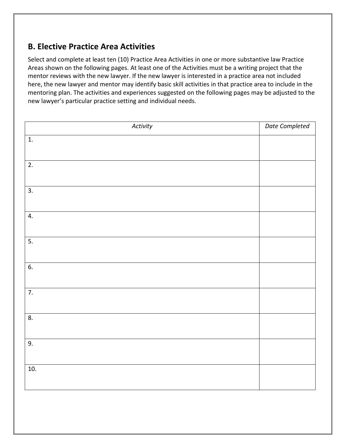# **B. Elective Practice Area Activities**

Select and complete at least ten (10) Practice Area Activities in one or more substantive law Practice Areas shown on the following pages. At least one of the Activities must be a writing project that the mentor reviews with the new lawyer. If the new lawyer is interested in a practice area not included here, the new lawyer and mentor may identify basic skill activities in that practice area to include in the mentoring plan. The activities and experiences suggested on the following pages may be adjusted to the new lawyer's particular practice setting and individual needs.

| Activity         | Date Completed |
|------------------|----------------|
| 1.               |                |
|                  |                |
| $\overline{2}$ . |                |
| 3.               |                |
|                  |                |
| 4.               |                |
|                  |                |
| $\overline{5}$ . |                |
|                  |                |
| 6.               |                |
|                  |                |
| 7.               |                |
| 8.               |                |
|                  |                |
| 9.               |                |
|                  |                |
| 10.              |                |
|                  |                |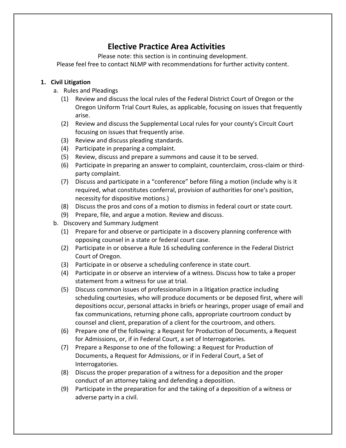# **Elective Practice Area Activities**

Please note: this section is in continuing development.

Please feel free to contact NLMP with recommendations for further activity content.

### **1. Civil Litigation**

- a. Rules and Pleadings
	- (1) Review and discuss the local rules of the Federal District Court of Oregon or the Oregon Uniform Trial Court Rules, as applicable, focusing on issues that frequently arise.
	- (2) Review and discuss the Supplemental Local rules for your county's Circuit Court focusing on issues that frequently arise.
	- (3) Review and discuss pleading standards.
	- (4) Participate in preparing a complaint.
	- (5) Review, discuss and prepare a summons and cause it to be served.
	- (6) Participate in preparing an answer to complaint, counterclaim, cross-claim or thirdparty complaint.
	- (7) Discuss and participate in a "conference" before filing a motion (include why is it required, what constitutes conferral, provision of authorities for one's position, necessity for dispositive motions.)
	- (8) Discuss the pros and cons of a motion to dismiss in federal court or state court.
	- (9) Prepare, file, and argue a motion. Review and discuss.
- b. Discovery and Summary Judgment
	- (1) Prepare for and observe or participate in a discovery planning conference with opposing counsel in a state or federal court case.
	- (2) Participate in or observe a Rule 16 scheduling conference in the Federal District Court of Oregon.
	- (3) Participate in or observe a scheduling conference in state court.
	- (4) Participate in or observe an interview of a witness. Discuss how to take a proper statement from a witness for use at trial.
	- (5) Discuss common issues of professionalism in a litigation practice including scheduling courtesies, who will produce documents or be deposed first, where will depositions occur, personal attacks in briefs or hearings, proper usage of email and fax communications, returning phone calls, appropriate courtroom conduct by counsel and client, preparation of a client for the courtroom, and others.
	- (6) Prepare one of the following: a Request for Production of Documents, a Request for Admissions, or, if in Federal Court, a set of Interrogatories.
	- (7) Prepare a Response to one of the following: a Request for Production of Documents, a Request for Admissions, or if in Federal Court, a Set of Interrogatories.
	- (8) Discuss the proper preparation of a witness for a deposition and the proper conduct of an attorney taking and defending a deposition.
	- (9) Participate in the preparation for and the taking of a deposition of a witness or adverse party in a civil.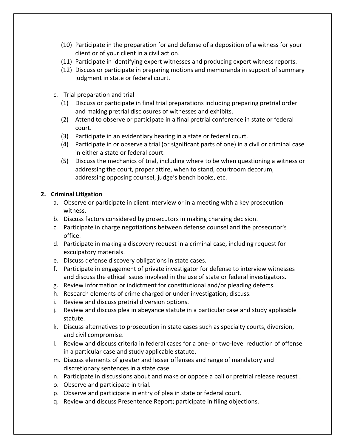- (10) Participate in the preparation for and defense of a deposition of a witness for your client or of your client in a civil action.
- (11) Participate in identifying expert witnesses and producing expert witness reports.
- (12) Discuss or participate in preparing motions and memoranda in support of summary judgment in state or federal court.
- c. Trial preparation and trial
	- (1) Discuss or participate in final trial preparations including preparing pretrial order and making pretrial disclosures of witnesses and exhibits.
	- (2) Attend to observe or participate in a final pretrial conference in state or federal court.
	- (3) Participate in an evidentiary hearing in a state or federal court.
	- (4) Participate in or observe a trial (or significant parts of one) in a civil or criminal case in either a state or federal court.
	- (5) Discuss the mechanics of trial, including where to be when questioning a witness or addressing the court, proper attire, when to stand, courtroom decorum, addressing opposing counsel, judge's bench books, etc.

### **2. Criminal Litigation**

- a. Observe or participate in client interview or in a meeting with a key prosecution witness.
- b. Discuss factors considered by prosecutors in making charging decision.
- c. Participate in charge negotiations between defense counsel and the prosecutor's office.
- d. Participate in making a discovery request in a criminal case, including request for exculpatory materials.
- e. Discuss defense discovery obligations in state cases.
- f. Participate in engagement of private investigator for defense to interview witnesses and discuss the ethical issues involved in the use of state or federal investigators.
- g. Review information or indictment for constitutional and/or pleading defects.
- h. Research elements of crime charged or under investigation; discuss.
- i. Review and discuss pretrial diversion options.
- j. Review and discuss plea in abeyance statute in a particular case and study applicable statute.
- k. Discuss alternatives to prosecution in state cases such as specialty courts, diversion, and civil compromise.
- l. Review and discuss criteria in federal cases for a one- or two-level reduction of offense in a particular case and study applicable statute.
- m. Discuss elements of greater and lesser offenses and range of mandatory and discretionary sentences in a state case.
- n. Participate in discussions about and make or oppose a bail or pretrial release request .
- o. Observe and participate in trial.
- p. Observe and participate in entry of plea in state or federal court.
- q. Review and discuss Presentence Report; participate in filing objections.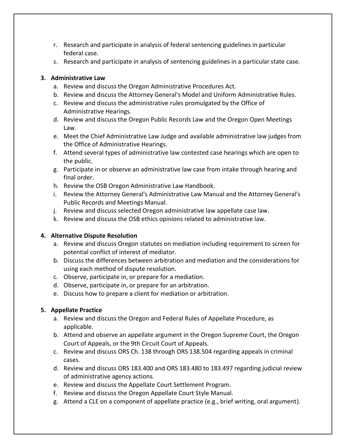- r. Research and participate in analysis of federal sentencing guidelines in particular federal case.
- s. Research and participate in analysis of sentencing guidelines in a particular state case.

### **3. Administrative Law**

- a. Review and discuss the Oregon Administrative Procedures Act.
- b. Review and discuss the Attorney General's Model and Uniform Administrative Rules.
- c. Review and discuss the administrative rules promulgated by the Office of Administrative Hearings.
- d. Review and discuss the Oregon Public Records Law and the Oregon Open Meetings Law.
- e. Meet the Chief Administrative Law Judge and available administrative law judges from the Office of Administrative Hearings.
- f. Attend several types of administrative law contested case hearings which are open to the public.
- g. Participate in or observe an administrative law case from intake through hearing and final order.
- h. Review the OSB Oregon Administrative Law Handbook.
- i. Review the Attorney General's Administrative Law Manual and the Attorney General's Public Records and Meetings Manual.
- j. Review and discuss selected Oregon administrative law appellate case law.
- k. Review and discuss the OSB ethics opinions related to administrative law.

### **4. Alternative Dispute Resolution**

- a. Review and discuss Oregon statutes on mediation including requirement to screen for potential conflict of interest of mediator.
- b. Discuss the differences between arbitration and mediation and the considerations for using each method of dispute resolution.
- c. Observe, participate in, or prepare for a mediation.
- d. Observe, participate in, or prepare for an arbitration.
- e. Discuss how to prepare a client for mediation or arbitration.

### **5. Appellate Practice**

- a. Review and discuss the Oregon and Federal Rules of Appellate Procedure, as applicable.
- b. Attend and observe an appellate argument in the Oregon Supreme Court, the Oregon Court of Appeals, or the 9th Circuit Court of Appeals.
- c. Review and discuss ORS Ch. 138 through ORS 138.504 regarding appeals in criminal cases.
- d. Review and discuss ORS 183.400 and ORS 183.480 to 183.497 regarding judicial review of administrative agency actions.
- e. Review and discuss the Appellate Court Settlement Program.
- f. Review and discuss the Oregon Appellate Court Style Manual.
- g. Attend a CLE on a component of appellate practice (e.g., brief writing, oral argument).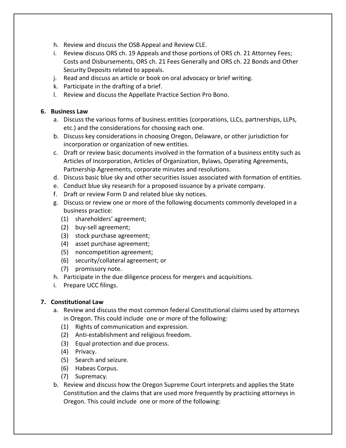- h. Review and discuss the OSB Appeal and Review CLE.
- i. Review discuss ORS ch. 19 Appeals and those portions of ORS ch. 21 Attorney Fees; Costs and Disbursements, ORS ch. 21 Fees Generally and ORS ch. 22 Bonds and Other Security Deposits related to appeals.
- j. Read and discuss an article or book on oral advocacy or brief writing.
- k. Participate in the drafting of a brief.
- l. Review and discuss the Appellate Practice Section Pro Bono.

### **6. Business Law**

- a. Discuss the various forms of business entities (corporations, LLCs, partnerships, LLPs, etc.) and the considerations for choosing each one.
- b. Discuss key considerations in choosing Oregon, Delaware, or other jurisdiction for incorporation or organization of new entities.
- c. Draft or review basic documents involved in the formation of a business entity such as Articles of Incorporation, Articles of Organization, Bylaws, Operating Agreements, Partnership Agreements, corporate minutes and resolutions.
- d. Discuss basic blue sky and other securities issues associated with formation of entities.
- e. Conduct blue sky research for a proposed issuance by a private company.
- f. Draft or review Form D and related blue sky notices.
- g. Discuss or review one or more of the following documents commonly developed in a business practice:
	- (1) shareholders' agreement;
	- (2) buy-sell agreement;
	- (3) stock purchase agreement;
	- (4) asset purchase agreement;
	- (5) noncompetition agreement;
	- (6) security/collateral agreement; or
	- (7) promissory note.
- h. Participate in the due diligence process for mergers and acquisitions.
- i. Prepare UCC filings.

### **7. Constitutional Law**

- a. Review and discuss the most common federal Constitutional claims used by attorneys in Oregon. This could include one or more of the following:
	- (1) Rights of communication and expression.
	- (2) Anti-establishment and religious freedom.
	- (3) Equal protection and due process.
	- (4) Privacy.
	- (5) Search and seizure.
	- (6) Habeas Corpus.
	- (7) Supremacy.
- b. Review and discuss how the Oregon Supreme Court interprets and applies the State Constitution and the claims that are used more frequently by practicing attorneys in Oregon. This could include one or more of the following: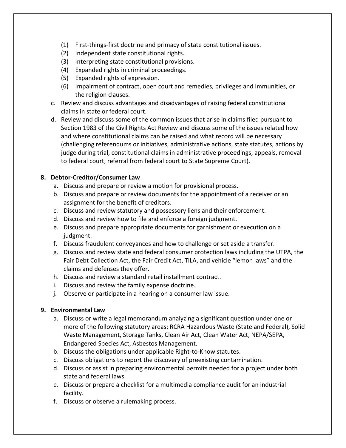- (1) First-things-first doctrine and primacy of state constitutional issues.
- (2) Independent state constitutional rights.
- (3) Interpreting state constitutional provisions.
- (4) Expanded rights in criminal proceedings.
- (5) Expanded rights of expression.
- (6) Impairment of contract, open court and remedies, privileges and immunities, or the religion clauses.
- c. Review and discuss advantages and disadvantages of raising federal constitutional claims in state or federal court.
- d. Review and discuss some of the common issues that arise in claims filed pursuant to Section 1983 of the Civil Rights Act Review and discuss some of the issues related how and where constitutional claims can be raised and what record will be necessary (challenging referendums or initiatives, administrative actions, state statutes, actions by judge during trial, constitutional claims in administrative proceedings, appeals, removal to federal court, referral from federal court to State Supreme Court).

### **8. Debtor-Creditor/Consumer Law**

- a. Discuss and prepare or review a motion for provisional process.
- b. Discuss and prepare or review documents for the appointment of a receiver or an assignment for the benefit of creditors.
- c. Discuss and review statutory and possessory liens and their enforcement.
- d. Discuss and review how to file and enforce a foreign judgment.
- e. Discuss and prepare appropriate documents for garnishment or execution on a judgment.
- f. Discuss fraudulent conveyances and how to challenge or set aside a transfer.
- g. Discuss and review state and federal consumer protection laws including the UTPA, the Fair Debt Collection Act, the Fair Credit Act, TILA, and vehicle "lemon laws" and the claims and defenses they offer.
- h. Discuss and review a standard retail installment contract.
- i. Discuss and review the family expense doctrine.
- j. Observe or participate in a hearing on a consumer law issue.

### **9. Environmental Law**

- a. Discuss or write a legal memorandum analyzing a significant question under one or more of the following statutory areas: RCRA Hazardous Waste (State and Federal), Solid Waste Management, Storage Tanks, Clean Air Act, Clean Water Act, NEPA/SEPA, Endangered Species Act, Asbestos Management.
- b. Discuss the obligations under applicable Right-to-Know statutes.
- c. Discuss obligations to report the discovery of preexisting contamination.
- d. Discuss or assist in preparing environmental permits needed for a project under both state and federal laws.
- e. Discuss or prepare a checklist for a multimedia compliance audit for an industrial facility.
- f. Discuss or observe a rulemaking process.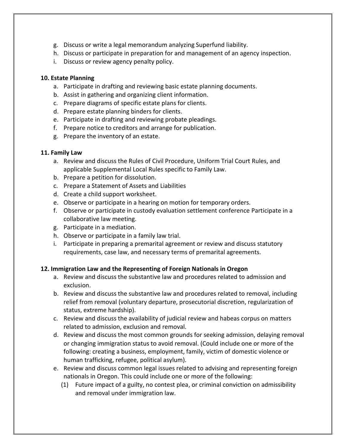- g. Discuss or write a legal memorandum analyzing Superfund liability.
- h. Discuss or participate in preparation for and management of an agency inspection.
- i. Discuss or review agency penalty policy.

#### **10. Estate Planning**

- a. Participate in drafting and reviewing basic estate planning documents.
- b. Assist in gathering and organizing client information.
- c. Prepare diagrams of specific estate plans for clients.
- d. Prepare estate planning binders for clients.
- e. Participate in drafting and reviewing probate pleadings.
- f. Prepare notice to creditors and arrange for publication.
- g. Prepare the inventory of an estate.

#### **11. Family Law**

- a. Review and discuss the Rules of Civil Procedure, Uniform Trial Court Rules, and applicable Supplemental Local Rules specific to Family Law.
- b. Prepare a petition for dissolution.
- c. Prepare a Statement of Assets and Liabilities
- d. Create a child support worksheet.
- e. Observe or participate in a hearing on motion for temporary orders.
- f. Observe or participate in custody evaluation settlement conference Participate in a collaborative law meeting.
- g. Participate in a mediation.
- h. Observe or participate in a family law trial.
- i. Participate in preparing a premarital agreement or review and discuss statutory requirements, case law, and necessary terms of premarital agreements.

### **12. Immigration Law and the Representing of Foreign Nationals in Oregon**

- a. Review and discuss the substantive law and procedures related to admission and exclusion.
- b. Review and discuss the substantive law and procedures related to removal, including relief from removal (voluntary departure, prosecutorial discretion, regularization of status, extreme hardship).
- c. Review and discuss the availability of judicial review and habeas corpus on matters related to admission, exclusion and removal.
- d. Review and discuss the most common grounds for seeking admission, delaying removal or changing immigration status to avoid removal. (Could include one or more of the following: creating a business, employment, family, victim of domestic violence or human trafficking, refugee, political asylum).
- e. Review and discuss common legal issues related to advising and representing foreign nationals in Oregon. This could include one or more of the following:
	- (1) Future impact of a guilty, no contest plea, or criminal conviction on admissibility and removal under immigration law.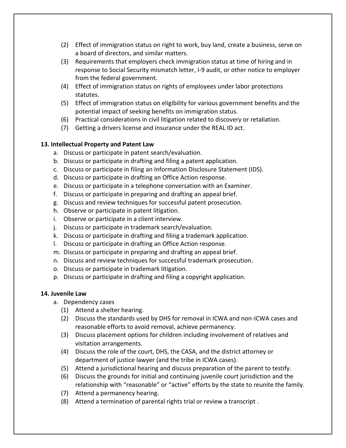- (2) Effect of immigration status on right to work, buy land, create a business, serve on a board of directors, and similar matters.
- (3) Requirements that employers check immigration status at time of hiring and in response to Social Security mismatch letter, I-9 audit, or other notice to employer from the federal government.
- (4) Effect of immigration status on rights of employees under labor protections statutes.
- (5) Effect of immigration status on eligibility for various government benefits and the potential impact of seeking benefits on immigration status.
- (6) Practical considerations in civil litigation related to discovery or retaliation.
- (7) Getting a drivers license and insurance under the REAL ID act.

### **13. Intellectual Property and Patent Law**

- a. Discuss or participate in patent search/evaluation.
- b. Discuss or participate in drafting and filing a patent application.
- c. Discuss or participate in filing an Information Disclosure Statement (IDS).
- d. Discuss or participate in drafting an Office Action response.
- e. Discuss or participate in a telephone conversation with an Examiner.
- f. Discuss or participate in preparing and drafting an appeal brief.
- g. Discuss and review techniques for successful patent prosecution.
- h. Observe or participate in patent litigation.
- i. Observe or participate in a client interview.
- j. Discuss or participate in trademark search/evaluation.
- k. Discuss or participate in drafting and filing a trademark application.
- l. Discuss or participate in drafting an Office Action response.
- m. Discuss or participate in preparing and drafting an appeal brief.
- n. Discuss and review techniques for successful trademark prosecution.
- o. Discuss or participate in trademark litigation.
- p. Discuss or participate in drafting and filing a copyright application.

### **14. Juvenile Law**

- a. Dependency cases
	- (1) Attend a shelter hearing.
	- (2) Discuss the standards used by DHS for removal in ICWA and non-ICWA cases and reasonable efforts to avoid removal, achieve permanency.
	- (3) Discuss placement options for children including involvement of relatives and visitation arrangements.
	- (4) Discuss the role of the court, DHS, the CASA, and the district attorney or department of justice lawyer (and the tribe in ICWA cases).
	- (5) Attend a jurisdictional hearing and discuss preparation of the parent to testify.
	- (6) Discuss the grounds for initial and continuing juvenile court jurisdiction and the relationship with "reasonable" or "active" efforts by the state to reunite the family.
	- (7) Attend a permanency hearing.
	- (8) Attend a termination of parental rights trial or review a transcript .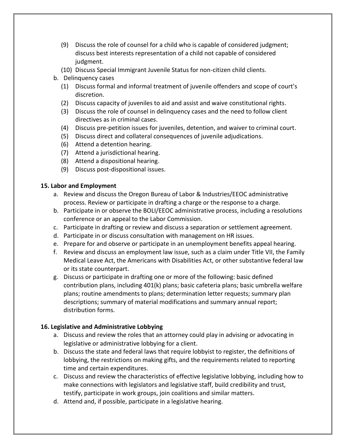- (9) Discuss the role of counsel for a child who is capable of considered judgment; discuss best interests representation of a child not capable of considered judgment.
- (10) Discuss Special Immigrant Juvenile Status for non-citizen child clients.
- b. Delinquency cases
	- (1) Discuss formal and informal treatment of juvenile offenders and scope of court's discretion.
	- (2) Discuss capacity of juveniles to aid and assist and waive constitutional rights.
	- (3) Discuss the role of counsel in delinquency cases and the need to follow client directives as in criminal cases.
	- (4) Discuss pre-petition issues for juveniles, detention, and waiver to criminal court.
	- (5) Discuss direct and collateral consequences of juvenile adjudications.
	- (6) Attend a detention hearing.
	- (7) Attend a jurisdictional hearing.
	- (8) Attend a dispositional hearing.
	- (9) Discuss post-dispositional issues.

### **15. Labor and Employment**

- a. Review and discuss the Oregon Bureau of Labor & Industries/EEOC administrative process. Review or participate in drafting a charge or the response to a charge.
- b. Participate in or observe the BOLI/EEOC administrative process, including a resolutions conference or an appeal to the Labor Commission.
- c. Participate in drafting or review and discuss a separation or settlement agreement.
- d. Participate in or discuss consultation with management on HR issues.
- e. Prepare for and observe or participate in an unemployment benefits appeal hearing.
- f. Review and discuss an employment law issue, such as a claim under Title VII, the Family Medical Leave Act, the Americans with Disabilities Act, or other substantive federal law or its state counterpart.
- g. Discuss or participate in drafting one or more of the following: basic defined contribution plans, including 401(k) plans; basic cafeteria plans; basic umbrella welfare plans; routine amendments to plans; determination letter requests; summary plan descriptions; summary of material modifications and summary annual report; distribution forms.

### **16. Legislative and Administrative Lobbying**

- a. Discuss and review the roles that an attorney could play in advising or advocating in legislative or administrative lobbying for a client.
- b. Discuss the state and federal laws that require lobbyist to register, the definitions of lobbying, the restrictions on making gifts, and the requirements related to reporting time and certain expenditures.
- c. Discuss and review the characteristics of effective legislative lobbying, including how to make connections with legislators and legislative staff, build credibility and trust, testify, participate in work groups, join coalitions and similar matters.
- d. Attend and, if possible, participate in a legislative hearing.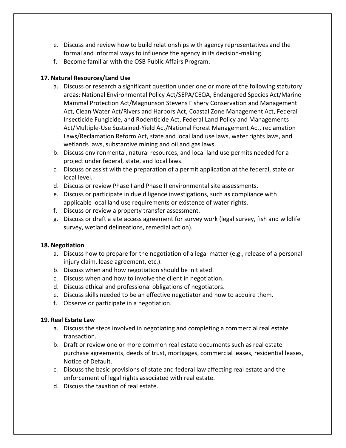- e. Discuss and review how to build relationships with agency representatives and the formal and informal ways to influence the agency in its decision-making.
- f. Become familiar with the OSB Public Affairs Program.

#### **17. Natural Resources/Land Use**

- a. Discuss or research a significant question under one or more of the following statutory areas: National Environmental Policy Act/SEPA/CEQA, Endangered Species Act/Marine Mammal Protection Act/Magnunson Stevens Fishery Conservation and Management Act, Clean Water Act/Rivers and Harbors Act, Coastal Zone Management Act, Federal Insecticide Fungicide, and Rodenticide Act, Federal Land Policy and Managements Act/Multiple-Use Sustained-Yield Act/National Forest Management Act, reclamation Laws/Reclamation Reform Act, state and local land use laws, water rights laws, and wetlands laws, substantive mining and oil and gas laws.
- b. Discuss environmental, natural resources, and local land use permits needed for a project under federal, state, and local laws.
- c. Discuss or assist with the preparation of a permit application at the federal, state or local level.
- d. Discuss or review Phase I and Phase II environmental site assessments.
- e. Discuss or participate in due diligence investigations, such as compliance with applicable local land use requirements or existence of water rights.
- f. Discuss or review a property transfer assessment.
- g. Discuss or draft a site access agreement for survey work (legal survey, fish and wildlife survey, wetland delineations, remedial action).

#### **18. Negotiation**

- a. Discuss how to prepare for the negotiation of a legal matter (e.g., release of a personal injury claim, lease agreement, etc.).
- b. Discuss when and how negotiation should be initiated.
- c. Discuss when and how to involve the client in negotiation.
- d. Discuss ethical and professional obligations of negotiators.
- e. Discuss skills needed to be an effective negotiator and how to acquire them.
- f. Observe or participate in a negotiation.

#### **19. Real Estate Law**

- a. Discuss the steps involved in negotiating and completing a commercial real estate transaction.
- b. Draft or review one or more common real estate documents such as real estate purchase agreements, deeds of trust, mortgages, commercial leases, residential leases, Notice of Default.
- c. Discuss the basic provisions of state and federal law affecting real estate and the enforcement of legal rights associated with real estate.
- d. Discuss the taxation of real estate.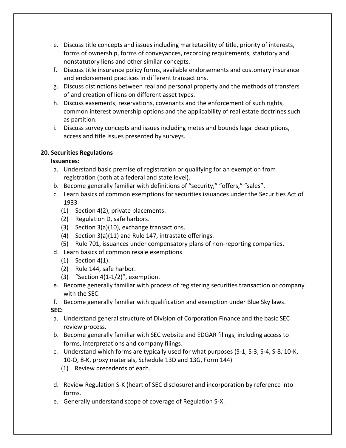- e. Discuss title concepts and issues including marketability of title, priority of interests, forms of ownership, forms of conveyances, recording requirements, statutory and nonstatutory liens and other similar concepts.
- f. Discuss title insurance policy forms, available endorsements and customary insurance and endorsement practices in different transactions.
- g. Discuss distinctions between real and personal property and the methods of transfers of and creation of liens on different asset types.
- h. Discuss easements, reservations, covenants and the enforcement of such rights, common interest ownership options and the applicability of real estate doctrines such as partition.
- i. Discuss survey concepts and issues including metes and bounds legal descriptions, access and title issues presented by surveys.

### **20. Securities Regulations**

### **Issuances:**

- a. Understand basic premise of registration or qualifying for an exemption from registration (both at a federal and state level).
- b. Become generally familiar with definitions of "security," "offers," "sales".
- c. Learn basics of common exemptions for securities issuances under the Securities Act of 1933
	- (1) Section 4(2), private placements.
	- (2) Regulation D, safe harbors.
	- (3) Section 3(a)(10), exchange transactions.
	- (4) Section 3(a)(11) and Rule 147, intrastate offerings.
	- (5) Rule 701, issuances under compensatory plans of non-reporting companies.
- d. Learn basics of common resale exemptions
	- (1) Section 4(1).
	- (2) Rule 144, safe harbor.
	- (3) "Section  $4(1-1/2)$ ", exemption.
- e. Become generally familiar with process of registering securities transaction or company with the SEC.
- f. Become generally familiar with qualification and exemption under Blue Sky laws. **SEC:**
- a. Understand general structure of Division of Corporation Finance and the basic SEC review process.
- b. Become generally familiar with SEC website and EDGAR filings, including access to forms, interpretations and company filings.
- c. Understand which forms are typically used for what purposes (S-1, S-3, S-4, S-8, 10-K, 10-Q, 8-K, proxy materials, Schedule 13D and 13G, Form 144)
	- (1) Review precedents of each.
- d. Review Regulation S-K (heart of SEC disclosure) and incorporation by reference into forms.
- e. Generally understand scope of coverage of Regulation S-X.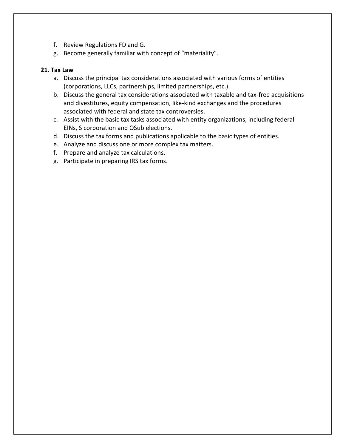- f. Review Regulations FD and G.
- g. Become generally familiar with concept of "materiality".

#### **21. Tax Law**

- a. Discuss the principal tax considerations associated with various forms of entities (corporations, LLCs, partnerships, limited partnerships, etc.).
- b. Discuss the general tax considerations associated with taxable and tax-free acquisitions and divestitures, equity compensation, like-kind exchanges and the procedures associated with federal and state tax controversies.
- c. Assist with the basic tax tasks associated with entity organizations, including federal EINs, S corporation and OSub elections.
- d. Discuss the tax forms and publications applicable to the basic types of entities.
- e. Analyze and discuss one or more complex tax matters.
- f. Prepare and analyze tax calculations.
- g. Participate in preparing IRS tax forms.